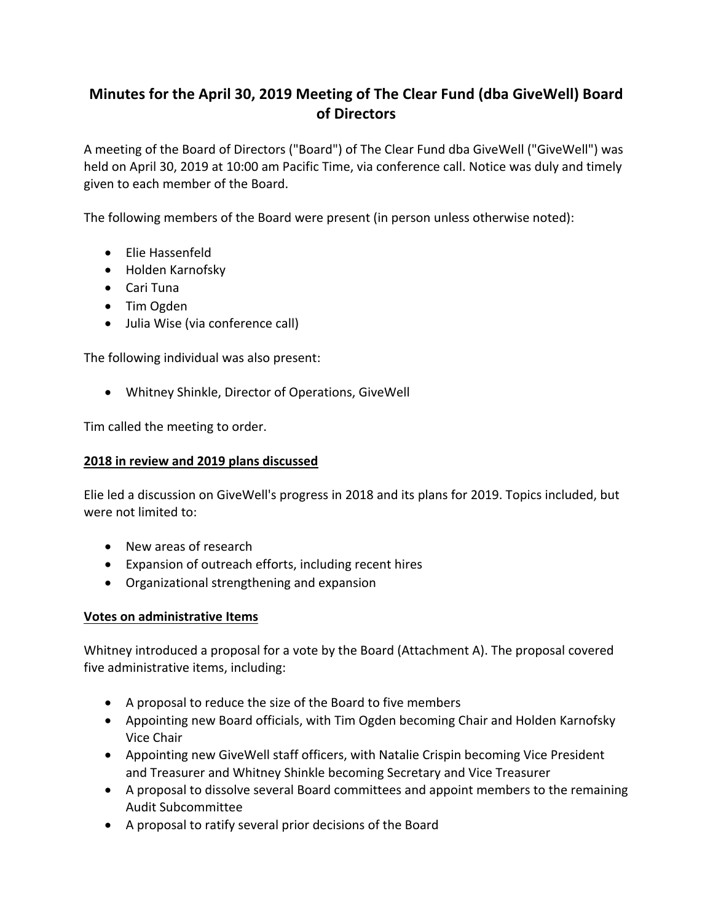# **Minutes for the April 30, 2019 Meeting of The Clear Fund (dba GiveWell) Board of Directors**

A meeting of the Board of Directors ("Board") of The Clear Fund dba GiveWell ("GiveWell") was held on April 30, 2019 at 10:00 am Pacific Time, via conference call. Notice was duly and timely given to each member of the Board.

The following members of the Board were present (in person unless otherwise noted):

- Flie Hassenfeld
- Holden Karnofsky
- Cari Tuna
- Tim Ogden
- Julia Wise (via conference call)

The following individual was also present:

• Whitney Shinkle, Director of Operations, GiveWell

Tim called the meeting to order.

#### **2018 in review and 2019 plans discussed**

Elie led a discussion on GiveWell's progress in 2018 and its plans for 2019. Topics included, but were not limited to:

- New areas of research
- Expansion of outreach efforts, including recent hires
- Organizational strengthening and expansion

#### **Votes on administrative Items**

Whitney introduced a proposal for a vote by the Board (Attachment A). The proposal covered five administrative items, including:

- A proposal to reduce the size of the Board to five members
- Appointing new Board officials, with Tim Ogden becoming Chair and Holden Karnofsky Vice Chair
- Appointing new GiveWell staff officers, with Natalie Crispin becoming Vice President and Treasurer and Whitney Shinkle becoming Secretary and Vice Treasurer
- A proposal to dissolve several Board committees and appoint members to the remaining Audit Subcommittee
- A proposal to ratify several prior decisions of the Board